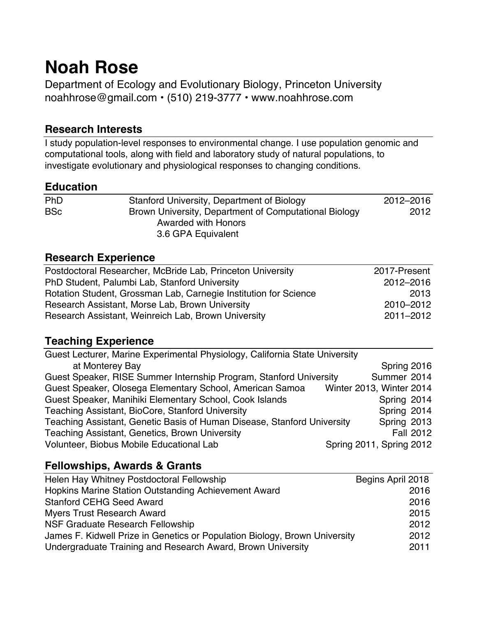# **Noah Rose**

Department of Ecology and Evolutionary Biology, Princeton University noahhrose@gmail.com • (510) 219-3777 • www.noahhrose.com

# **Research Interests**

I study population-level responses to environmental change. I use population genomic and computational tools, along with field and laboratory study of natural populations, to investigate evolutionary and physiological responses to changing conditions.

### **Education**

| 2012-2016                                                     |
|---------------------------------------------------------------|
| Brown University, Department of Computational Biology<br>2012 |
|                                                               |
|                                                               |
|                                                               |

### **Research Experience**

| Postdoctoral Researcher, McBride Lab, Princeton University       | 2017-Present |
|------------------------------------------------------------------|--------------|
| PhD Student, Palumbi Lab, Stanford University                    | 2012-2016    |
| Rotation Student, Grossman Lab, Carnegie Institution for Science | 2013         |
| Research Assistant, Morse Lab, Brown University                  | 2010-2012    |
| Research Assistant, Weinreich Lab, Brown University              | 2011-2012    |

# **Teaching Experience**

| Guest Lecturer, Marine Experimental Physiology, California State University |                          |             |                  |
|-----------------------------------------------------------------------------|--------------------------|-------------|------------------|
| at Monterey Bay                                                             |                          | Spring 2016 |                  |
| Guest Speaker, RISE Summer Internship Program, Stanford University          |                          | Summer 2014 |                  |
| Guest Speaker, Olosega Elementary School, American Samoa                    | Winter 2013, Winter 2014 |             |                  |
| Guest Speaker, Manihiki Elementary School, Cook Islands                     |                          | Spring 2014 |                  |
| Teaching Assistant, BioCore, Stanford University                            |                          | Spring 2014 |                  |
| Teaching Assistant, Genetic Basis of Human Disease, Stanford University     |                          | Spring 2013 |                  |
| Teaching Assistant, Genetics, Brown University                              |                          |             | <b>Fall 2012</b> |
| Volunteer, Biobus Mobile Educational Lab                                    | Spring 2011, Spring 2012 |             |                  |

# **Fellowships, Awards & Grants**

| Helen Hay Whitney Postdoctoral Fellowship                                  | Begins April 2018 |
|----------------------------------------------------------------------------|-------------------|
| Hopkins Marine Station Outstanding Achievement Award                       | 2016              |
| <b>Stanford CEHG Seed Award</b>                                            | 2016              |
| <b>Myers Trust Research Award</b>                                          | 2015              |
| NSF Graduate Research Fellowship                                           | 2012              |
| James F. Kidwell Prize in Genetics or Population Biology, Brown University | 2012              |
| Undergraduate Training and Research Award, Brown University                | 2011              |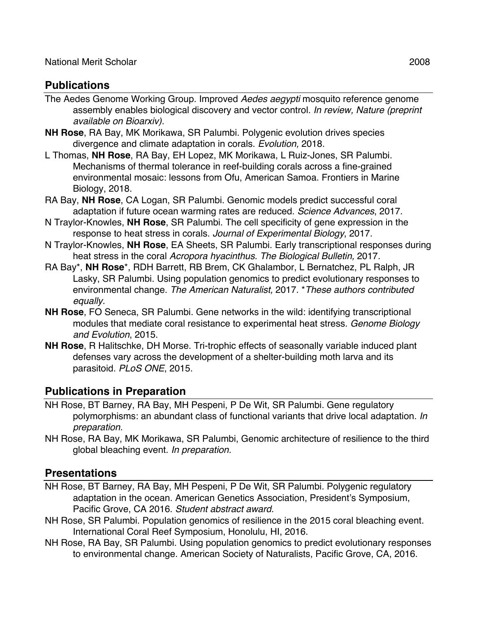# **Publications**

- The Aedes Genome Working Group. Improved *Aedes aegypti* mosquito reference genome assembly enables biological discovery and vector control. *In review, Nature (preprint available on Bioarxiv).*
- **NH Rose**, RA Bay, MK Morikawa, SR Palumbi. Polygenic evolution drives species divergence and climate adaptation in corals. *Evolution,* 2018*.*
- L Thomas, **NH Rose**, RA Bay, EH Lopez, MK Morikawa, L Ruiz-Jones, SR Palumbi. Mechanisms of thermal tolerance in reef-building corals across a fine-grained environmental mosaic: lessons from Ofu, American Samoa. Frontiers in Marine Biology, 2018.
- RA Bay, **NH Rose**, CA Logan, SR Palumbi. Genomic models predict successful coral adaptation if future ocean warming rates are reduced. *Science Advances*, 2017.
- N Traylor-Knowles, **NH Rose**, SR Palumbi. The cell specificity of gene expression in the response to heat stress in corals. *Journal of Experimental Biology*, 2017.
- N Traylor-Knowles, **NH Rose**, EA Sheets, SR Palumbi. Early transcriptional responses during heat stress in the coral *Acropora hyacinthus. The Biological Bulletin,* 2017*.*
- RA Bay\*, **NH Rose**\*, RDH Barrett, RB Brem, CK Ghalambor, L Bernatchez, PL Ralph, JR Lasky, SR Palumbi. Using population genomics to predict evolutionary responses to environmental change. *The American Naturalist,* 2017. \**These authors contributed equally.*
- **NH Rose**, FO Seneca, SR Palumbi. Gene networks in the wild: identifying transcriptional modules that mediate coral resistance to experimental heat stress. *Genome Biology and Evolution*, 2015.
- **NH Rose**, R Halitschke, DH Morse. Tri-trophic effects of seasonally variable induced plant defenses vary across the development of a shelter-building moth larva and its parasitoid. *PLoS ONE*, 2015.

# **Publications in Preparation**

- NH Rose, BT Barney, RA Bay, MH Pespeni, P De Wit, SR Palumbi. Gene regulatory polymorphisms: an abundant class of functional variants that drive local adaptation. *In preparation.*
- NH Rose, RA Bay, MK Morikawa, SR Palumbi, Genomic architecture of resilience to the third global bleaching event. *In preparation.*

### **Presentations**

- NH Rose, BT Barney, RA Bay, MH Pespeni, P De Wit, SR Palumbi. Polygenic regulatory adaptation in the ocean. American Genetics Association, President's Symposium, Pacific Grove, CA 2016. *Student abstract award.*
- NH Rose, SR Palumbi. Population genomics of resilience in the 2015 coral bleaching event. International Coral Reef Symposium, Honolulu, HI, 2016.
- NH Rose, RA Bay, SR Palumbi. Using population genomics to predict evolutionary responses to environmental change. American Society of Naturalists, Pacific Grove, CA, 2016.